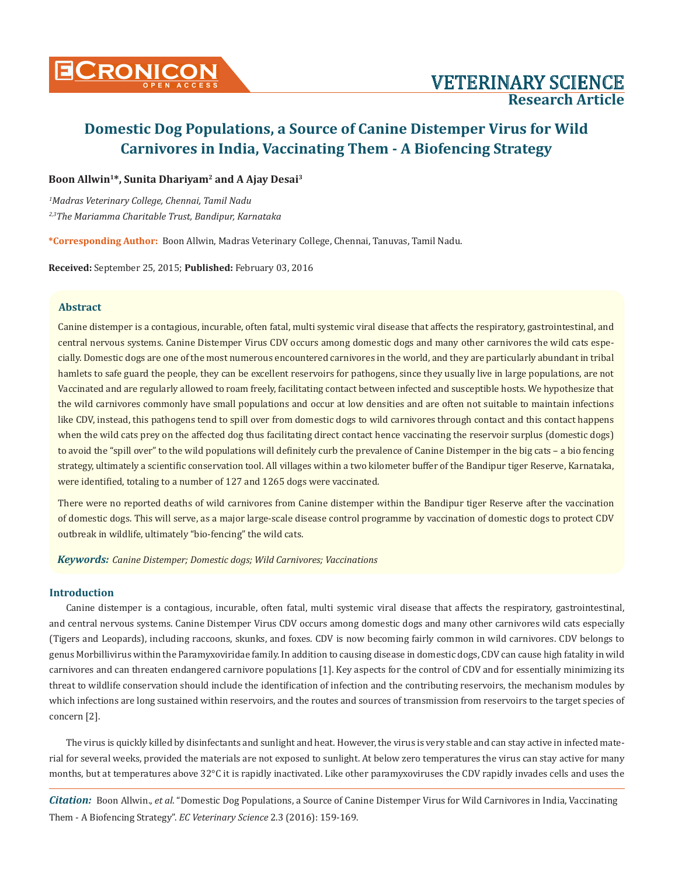

### **Boon Allwin1\*, Sunita Dhariyam2 and A Ajay Desai3**

*1 Madras Veterinary College, Chennai, Tamil Nadu*

*2,3The Mariamma Charitable Trust, Bandipur, Karnataka*

**\*Corresponding Author:** Boon Allwin, Madras Veterinary College, Chennai, Tanuvas, Tamil Nadu.

**Received:** September 25, 2015; **Published:** February 03, 2016

### **Abstract**

Canine distemper is a contagious, incurable, often fatal, multi systemic viral disease that affects the respiratory, gastrointestinal, and central nervous systems. Canine Distemper Virus CDV occurs among domestic dogs and many other carnivores the wild cats especially. Domestic dogs are one of the most numerous encountered carnivores in the world, and they are particularly abundant in tribal hamlets to safe guard the people, they can be excellent reservoirs for pathogens, since they usually live in large populations, are not Vaccinated and are regularly allowed to roam freely, facilitating contact between infected and susceptible hosts. We hypothesize that the wild carnivores commonly have small populations and occur at low densities and are often not suitable to maintain infections like CDV, instead, this pathogens tend to spill over from domestic dogs to wild carnivores through contact and this contact happens when the wild cats prey on the affected dog thus facilitating direct contact hence vaccinating the reservoir surplus (domestic dogs) to avoid the "spill over" to the wild populations will definitely curb the prevalence of Canine Distemper in the big cats – a bio fencing strategy, ultimately a scientific conservation tool. All villages within a two kilometer buffer of the Bandipur tiger Reserve, Karnataka, were identified, totaling to a number of 127 and 1265 dogs were vaccinated.

There were no reported deaths of wild carnivores from Canine distemper within the Bandipur tiger Reserve after the vaccination of domestic dogs. This will serve, as a major large-scale disease control programme by vaccination of domestic dogs to protect CDV outbreak in wildlife, ultimately "bio-fencing" the wild cats.

*Keywords: Canine Distemper; Domestic dogs; Wild Carnivores; Vaccinations*

### **Introduction**

Canine distemper is a contagious, incurable, often fatal, multi systemic viral disease that affects the respiratory, gastrointestinal, and central nervous systems. Canine Distemper Virus CDV occurs among domestic dogs and many other carnivores wild cats especially (Tigers and Leopards), including raccoons, skunks, and foxes. CDV is now becoming fairly common in wild carnivores. CDV belongs to genus Morbillivirus within the Paramyxoviridae family. In addition to causing disease in domestic dogs, CDV can cause high fatality in wild carnivores and can threaten endangered carnivore populations [1]. Key aspects for the control of CDV and for essentially minimizing its threat to wildlife conservation should include the identification of infection and the contributing reservoirs, the mechanism modules by which infections are long sustained within reservoirs, and the routes and sources of transmission from reservoirs to the target species of concern [2].

The virus is quickly killed by disinfectants and sunlight and heat. However, the virus is very stable and can stay active in infected material for several weeks, provided the materials are not exposed to sunlight. At below zero temperatures the virus can stay active for many months, but at temperatures above 32°C it is rapidly inactivated. Like other paramyxoviruses the CDV rapidly invades cells and uses the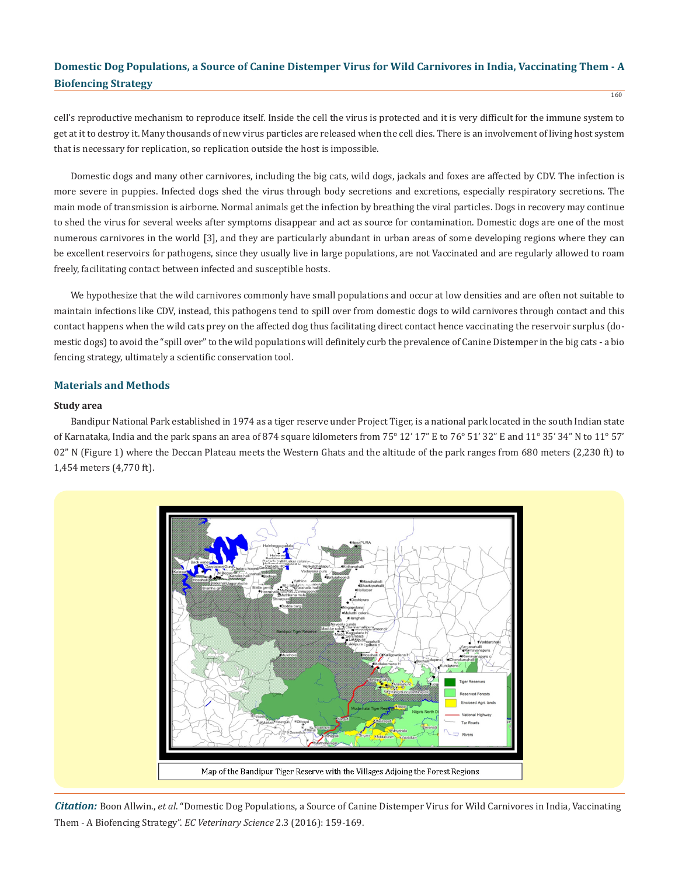cell's reproductive mechanism to reproduce itself. Inside the cell the virus is protected and it is very difficult for the immune system to get at it to destroy it. Many thousands of new virus particles are released when the cell dies. There is an involvement of living host system that is necessary for replication, so replication outside the host is impossible.

Domestic dogs and many other carnivores, including the big cats, wild dogs, jackals and foxes are affected by CDV. The infection is more severe in puppies. Infected dogs shed the virus through body secretions and excretions, especially respiratory secretions. The main mode of transmission is airborne. Normal animals get the infection by breathing the viral particles. Dogs in recovery may continue to shed the virus for several weeks after symptoms disappear and act as source for contamination. Domestic dogs are one of the most numerous carnivores in the world [3], and they are particularly abundant in urban areas of some developing regions where they can be excellent reservoirs for pathogens, since they usually live in large populations, are not Vaccinated and are regularly allowed to roam freely, facilitating contact between infected and susceptible hosts.

We hypothesize that the wild carnivores commonly have small populations and occur at low densities and are often not suitable to maintain infections like CDV, instead, this pathogens tend to spill over from domestic dogs to wild carnivores through contact and this contact happens when the wild cats prey on the affected dog thus facilitating direct contact hence vaccinating the reservoir surplus (domestic dogs) to avoid the "spill over" to the wild populations will definitely curb the prevalence of Canine Distemper in the big cats - a bio fencing strategy, ultimately a scientific conservation tool.

### **Materials and Methods**

#### **Study area**

Bandipur National Park established in 1974 as a tiger reserve under Project Tiger, is a national park located in the south Indian state of Karnataka, India and the park spans an area of 874 square kilometers from 75° 12' 17" E to 76° 51' 32" E and 11° 35' 34" N to 11° 57' 02" N (Figure 1) where the Deccan Plateau meets the Western Ghats and the altitude of the park ranges from 680 meters (2,230 ft) to 1,454 meters (4,770 ft).



*Citation:* Boon Allwin., *et al*. "Domestic Dog Populations, a Source of Canine Distemper Virus for Wild Carnivores in India, Vaccinating Them - A Biofencing Strategy". *EC Veterinary Science* 2.3 (2016): 159-169.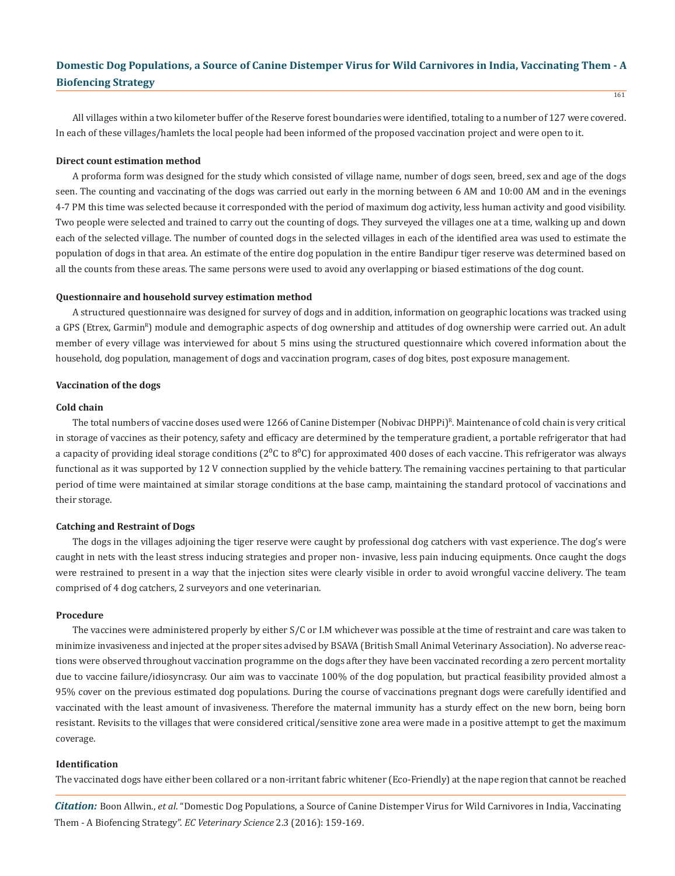All villages within a two kilometer buffer of the Reserve forest boundaries were identified, totaling to a number of 127 were covered. In each of these villages/hamlets the local people had been informed of the proposed vaccination project and were open to it.

#### **Direct count estimation method**

A proforma form was designed for the study which consisted of village name, number of dogs seen, breed, sex and age of the dogs seen. The counting and vaccinating of the dogs was carried out early in the morning between 6 AM and 10:00 AM and in the evenings 4-7 PM this time was selected because it corresponded with the period of maximum dog activity, less human activity and good visibility. Two people were selected and trained to carry out the counting of dogs. They surveyed the villages one at a time, walking up and down each of the selected village. The number of counted dogs in the selected villages in each of the identified area was used to estimate the population of dogs in that area. An estimate of the entire dog population in the entire Bandipur tiger reserve was determined based on all the counts from these areas. The same persons were used to avoid any overlapping or biased estimations of the dog count.

#### **Questionnaire and household survey estimation method**

A structured questionnaire was designed for survey of dogs and in addition, information on geographic locations was tracked using a GPS (Etrex, Garmin<sup>8</sup>) module and demographic aspects of dog ownership and attitudes of dog ownership were carried out. An adult member of every village was interviewed for about 5 mins using the structured questionnaire which covered information about the household, dog population, management of dogs and vaccination program, cases of dog bites, post exposure management.

#### **Vaccination of the dogs**

### **Cold chain**

The total numbers of vaccine doses used were 1266 of Canine Distemper (Nobivac DHPPi)<sup>R</sup>. Maintenance of cold chain is very critical in storage of vaccines as their potency, safety and efficacy are determined by the temperature gradient, a portable refrigerator that had a capacity of providing ideal storage conditions ( $2^0C$  to  $8^0C$ ) for approximated 400 doses of each vaccine. This refrigerator was always functional as it was supported by 12 V connection supplied by the vehicle battery. The remaining vaccines pertaining to that particular period of time were maintained at similar storage conditions at the base camp, maintaining the standard protocol of vaccinations and their storage.

### **Catching and Restraint of Dogs**

The dogs in the villages adjoining the tiger reserve were caught by professional dog catchers with vast experience. The dog's were caught in nets with the least stress inducing strategies and proper non- invasive, less pain inducing equipments. Once caught the dogs were restrained to present in a way that the injection sites were clearly visible in order to avoid wrongful vaccine delivery. The team comprised of 4 dog catchers, 2 surveyors and one veterinarian.

#### **Procedure**

The vaccines were administered properly by either S/C or I.M whichever was possible at the time of restraint and care was taken to minimize invasiveness and injected at the proper sites advised by BSAVA (British Small Animal Veterinary Association). No adverse reactions were observed throughout vaccination programme on the dogs after they have been vaccinated recording a zero percent mortality due to vaccine failure/idiosyncrasy. Our aim was to vaccinate 100% of the dog population, but practical feasibility provided almost a 95% cover on the previous estimated dog populations. During the course of vaccinations pregnant dogs were carefully identified and vaccinated with the least amount of invasiveness. Therefore the maternal immunity has a sturdy effect on the new born, being born resistant. Revisits to the villages that were considered critical/sensitive zone area were made in a positive attempt to get the maximum coverage.

#### **Identification**

The vaccinated dogs have either been collared or a non-irritant fabric whitener (Eco-Friendly) at the nape region that cannot be reached

*Citation:* Boon Allwin., *et al*. "Domestic Dog Populations, a Source of Canine Distemper Virus for Wild Carnivores in India, Vaccinating Them - A Biofencing Strategy". *EC Veterinary Science* 2.3 (2016): 159-169.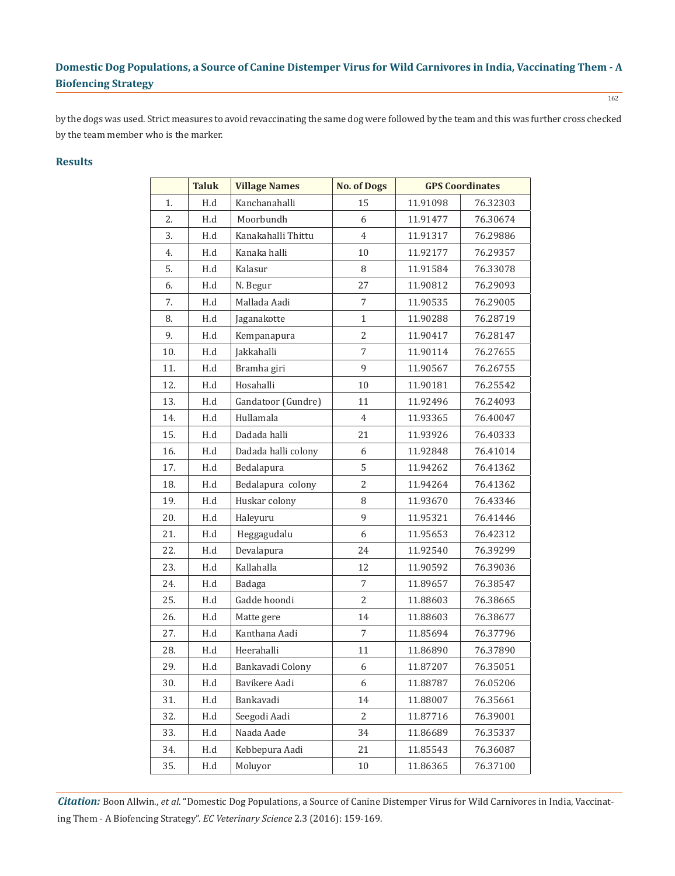by the dogs was used. Strict measures to avoid revaccinating the same dog were followed by the team and this was further cross checked by the team member who is the marker.

### **Results**

|     | <b>Taluk</b> | <b>Village Names</b> | <b>No. of Dogs</b> |          | <b>GPS Coordinates</b> |
|-----|--------------|----------------------|--------------------|----------|------------------------|
| 1.  | H.d          | Kanchanahalli        | 15                 | 11.91098 | 76.32303               |
| 2.  | H.d          | Moorbundh            | 6                  | 11.91477 | 76.30674               |
| 3.  | H.d          | Kanakahalli Thittu   | 4                  | 11.91317 | 76.29886               |
| 4.  | H.d          | Kanaka halli         | 10                 | 11.92177 | 76.29357               |
| 5.  | H.d          | Kalasur              | 8                  | 11.91584 | 76.33078               |
| 6.  | H.d          | N. Begur             | 27                 | 11.90812 | 76.29093               |
| 7.  | H.d          | Mallada Aadi         | 7                  | 11.90535 | 76.29005               |
| 8.  | H.d          | Jaganakotte          | $\mathbf{1}$       | 11.90288 | 76.28719               |
| 9.  | H.d          | Kempanapura          | $\overline{2}$     | 11.90417 | 76.28147               |
| 10. | H.d          | Jakkahalli           | 7                  | 11.90114 | 76.27655               |
| 11. | H.d          | Bramha giri          | 9                  | 11.90567 | 76.26755               |
| 12. | H.d          | Hosahalli            | 10                 | 11.90181 | 76.25542               |
| 13. | H.d          | Gandatoor (Gundre)   | 11                 | 11.92496 | 76.24093               |
| 14. | H.d          | Hullamala            | $\overline{4}$     | 11.93365 | 76.40047               |
| 15. | H.d          | Dadada halli         | 21                 | 11.93926 | 76.40333               |
| 16. | H.d          | Dadada halli colony  | 6                  | 11.92848 | 76.41014               |
| 17. | H.d          | Bedalapura           | 5                  | 11.94262 | 76.41362               |
| 18. | H.d          | Bedalapura colony    | $\overline{2}$     | 11.94264 | 76.41362               |
| 19. | H.d          | Huskar colony        | 8                  | 11.93670 | 76.43346               |
| 20. | H.d          | Haleyuru             | 9                  | 11.95321 | 76.41446               |
| 21. | H.d          | Heggagudalu          | 6                  | 11.95653 | 76.42312               |
| 22. | H.d          | Devalapura           | 24                 | 11.92540 | 76.39299               |
| 23. | H.d          | Kallahalla           | 12                 | 11.90592 | 76.39036               |
| 24. | H.d          | Badaga               | 7                  | 11.89657 | 76.38547               |
| 25. | H.d          | Gadde hoondi         | $\overline{2}$     | 11.88603 | 76.38665               |
| 26. | H.d          | Matte gere           | 14                 | 11.88603 | 76.38677               |
| 27. | H.d          | Kanthana Aadi        | 7                  | 11.85694 | 76.37796               |
| 28. | H.d          | Heerahalli           | 11                 | 11.86890 | 76.37890               |
| 29. | H.d          | Bankavadi Colony     | 6                  | 11.87207 | 76.35051               |
| 30. | H.d          | Bavikere Aadi        | 6                  | 11.88787 | 76.05206               |
| 31. | H.d          | Bankavadi            | 14                 | 11.88007 | 76.35661               |
| 32. | H.d          | Seegodi Aadi         | 2                  | 11.87716 | 76.39001               |
| 33. | H.d          | Naada Aade           | 34                 | 11.86689 | 76.35337               |
| 34. | H.d          | Kebbepura Aadi       | 21                 | 11.85543 | 76.36087               |
| 35. | H.d          | Moluyor              | $10\,$             | 11.86365 | 76.37100               |

*Citation:* Boon Allwin., *et al*. "Domestic Dog Populations, a Source of Canine Distemper Virus for Wild Carnivores in India, Vaccinating Them - A Biofencing Strategy". *EC Veterinary Science* 2.3 (2016): 159-169.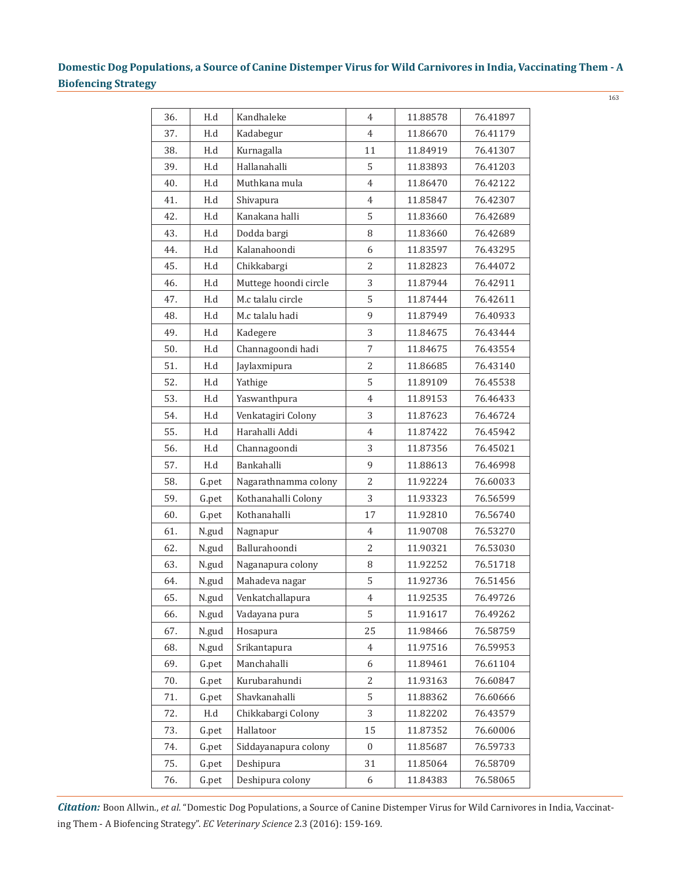163

| 36. | H.d   | Kandhaleke            | $\overline{4}$ | 11.88578 | 76.41897 |
|-----|-------|-----------------------|----------------|----------|----------|
| 37. | H.d   | Kadabegur             | $\overline{4}$ | 11.86670 | 76.41179 |
| 38. | H.d   | Kurnagalla            | 11             | 11.84919 | 76.41307 |
| 39. | H.d   | Hallanahalli          | 5              | 11.83893 | 76.41203 |
| 40. | H.d   | Muthkana mula         | $\overline{4}$ | 11.86470 | 76.42122 |
| 41. | H.d   | Shivapura             | $\overline{4}$ | 11.85847 | 76.42307 |
| 42. | H.d   | Kanakana halli        | 5              | 11.83660 | 76.42689 |
| 43. | H.d   | Dodda bargi           | 8              | 11.83660 | 76.42689 |
| 44. | H.d   | Kalanahoondi          | 6              | 11.83597 | 76.43295 |
| 45. | H.d   | Chikkabargi           | $\overline{2}$ | 11.82823 | 76.44072 |
| 46. | H.d   | Muttege hoondi circle | 3              | 11.87944 | 76.42911 |
| 47. | H.d   | M.c talalu circle     | 5              | 11.87444 | 76.42611 |
| 48. | H.d   | M.c talalu hadi       | 9              | 11.87949 | 76.40933 |
| 49. | H.d   | Kadegere              | 3              | 11.84675 | 76.43444 |
| 50. | H.d   | Channagoondi hadi     | $\overline{7}$ | 11.84675 | 76.43554 |
| 51. | H.d   | Jaylaxmipura          | $\overline{2}$ | 11.86685 | 76.43140 |
| 52. | H.d   | Yathige               | 5              | 11.89109 | 76.45538 |
| 53. | H.d   | Yaswanthpura          | $\overline{4}$ | 11.89153 | 76.46433 |
| 54. | H.d   | Venkatagiri Colony    | 3              | 11.87623 | 76.46724 |
| 55. | H.d   | Harahalli Addi        | $\overline{4}$ | 11.87422 | 76.45942 |
| 56. | H.d   | Channagoondi          | 3              | 11.87356 | 76.45021 |
| 57. | H.d   | Bankahalli            | 9              | 11.88613 | 76.46998 |
| 58. | G.pet | Nagarathnamma colony  | $\overline{2}$ | 11.92224 | 76.60033 |
| 59. | G.pet | Kothanahalli Colony   | 3              | 11.93323 | 76.56599 |
| 60. | G.pet | Kothanahalli          | 17             | 11.92810 | 76.56740 |
| 61. | N.gud | Nagnapur              | $\overline{4}$ | 11.90708 | 76.53270 |
| 62. | N.gud | Ballurahoondi         | $\overline{2}$ | 11.90321 | 76.53030 |
| 63. | N.gud | Naganapura colony     | 8              | 11.92252 | 76.51718 |
| 64. | N.gud | Mahadeva nagar        | 5              | 11.92736 | 76.51456 |
| 65. | N.gud | Venkatchallapura      | $\overline{4}$ | 11.92535 | 76.49726 |
| 66. | N.gud | Vadayana pura         | 5              | 11.91617 | 76.49262 |
| 67. | N.gud | Hosapura              | 25             | 11.98466 | 76.58759 |
| 68. | N.gud | Srikantapura          | $\overline{4}$ | 11.97516 | 76.59953 |
| 69. | G.pet | Manchahalli           | 6              | 11.89461 | 76.61104 |
| 70. | G.pet | Kurubarahundi         | 2              | 11.93163 | 76.60847 |
| 71. | G.pet | Shavkanahalli         | 5              | 11.88362 | 76.60666 |
| 72. | H.d   | Chikkabargi Colony    | 3              | 11.82202 | 76.43579 |
| 73. | G.pet | Hallatoor             | 15             | 11.87352 | 76.60006 |
| 74. | G.pet | Siddayanapura colony  | $\overline{0}$ | 11.85687 | 76.59733 |
| 75. | G.pet | Deshipura             | 31             | 11.85064 | 76.58709 |
| 76. | G.pet | Deshipura colony      | 6              | 11.84383 | 76.58065 |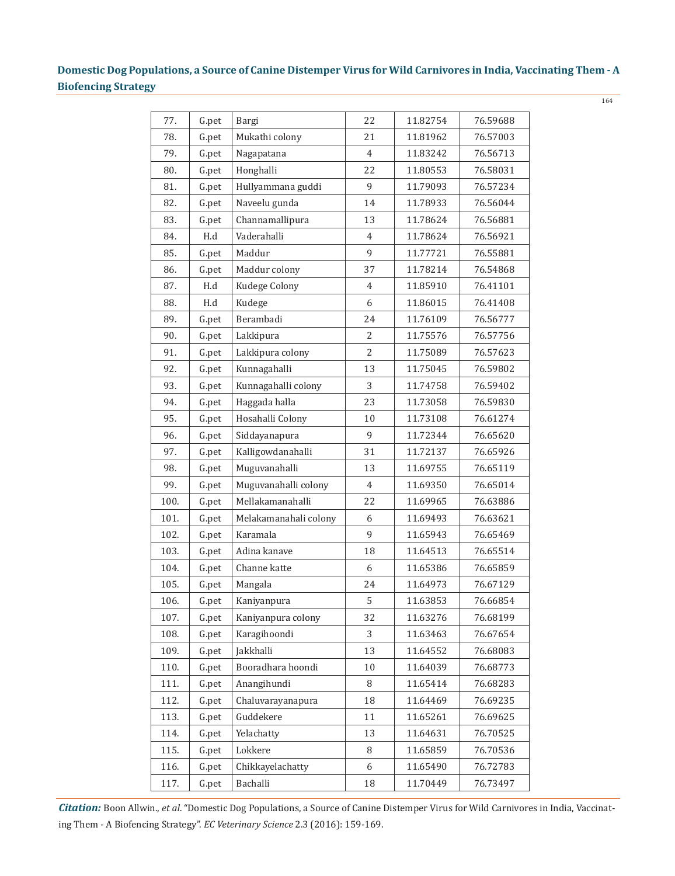| 77.  | G.pet                | Bargi                 | 22             | 11.82754 | 76.59688 |
|------|----------------------|-----------------------|----------------|----------|----------|
| 78.  | G.pet                | Mukathi colony        | 21             | 11.81962 | 76.57003 |
| 79.  | G.pet                | Nagapatana            | $\overline{4}$ | 11.83242 | 76.56713 |
| 80.  | G.pet                | Honghalli             | 22             | 11.80553 | 76.58031 |
| 81.  | G.pet                | Hullyammana guddi     | 9              | 11.79093 | 76.57234 |
| 82.  | G.pet                | Naveelu gunda         | 14             | 11.78933 | 76.56044 |
| 83.  | G.pet                | Channamallipura       | 13             | 11.78624 | 76.56881 |
| 84.  | H.d                  | Vaderahalli           | $\overline{4}$ | 11.78624 | 76.56921 |
| 85.  | G.pet                | Maddur                | 9              | 11.77721 | 76.55881 |
| 86.  | G.pet                | Maddur colony         | 37             | 11.78214 | 76.54868 |
| 87.  | $\operatorname{H.d}$ | Kudege Colony         | $\overline{4}$ | 11.85910 | 76.41101 |
| 88.  | H.d                  | Kudege                | 6              | 11.86015 | 76.41408 |
| 89.  | G.pet                | Berambadi             | 24             | 11.76109 | 76.56777 |
| 90.  | G.pet                | Lakkipura             | $\overline{2}$ | 11.75576 | 76.57756 |
| 91.  | G.pet                | Lakkipura colony      | $\overline{2}$ | 11.75089 | 76.57623 |
| 92.  | G.pet                | Kunnagahalli          | 13             | 11.75045 | 76.59802 |
| 93.  | G.pet                | Kunnagahalli colony   | 3              | 11.74758 | 76.59402 |
| 94.  | G.pet                | Haggada halla         | 23             | 11.73058 | 76.59830 |
| 95.  | G.pet                | Hosahalli Colony      | 10             | 11.73108 | 76.61274 |
| 96.  | G.pet                | Siddayanapura         | 9              | 11.72344 | 76.65620 |
| 97.  | G.pet                | Kalligowdanahalli     | 31             | 11.72137 | 76.65926 |
| 98.  | G.pet                | Muguvanahalli         | 13             | 11.69755 | 76.65119 |
| 99.  | G.pet                | Muguvanahalli colony  | $\overline{4}$ | 11.69350 | 76.65014 |
| 100. | G.pet                | Mellakamanahalli      | 22             | 11.69965 | 76.63886 |
| 101. | G.pet                | Melakamanahali colony | 6              | 11.69493 | 76.63621 |
| 102. | G.pet                | Karamala              | 9              | 11.65943 | 76.65469 |
| 103. | G.pet                | Adina kanave          | 18             | 11.64513 | 76.65514 |
| 104. | G.pet                | Channe katte          | 6              | 11.65386 | 76.65859 |
| 105. | G.pet                | Mangala               | 24             | 11.64973 | 76.67129 |
| 106. | G.pet                | Kaniyanpura           | 5              | 11.63853 | 76.66854 |
| 107. | G.pet                | Kaniyanpura colony    | 32             | 11.63276 | 76.68199 |
| 108. | G.pet                | Karagihoondi          | 3              | 11.63463 | 76.67654 |
| 109. | G.pet                | Jakkhalli             | 13             | 11.64552 | 76.68083 |
| 110. | G.pet                | Booradhara hoondi     | 10             | 11.64039 | 76.68773 |
| 111. | G.pet                | Anangihundi           | 8              | 11.65414 | 76.68283 |
| 112. | G.pet                | Chaluvarayanapura     | 18             | 11.64469 | 76.69235 |
| 113. | G.pet                | Guddekere             | 11             | 11.65261 | 76.69625 |
| 114. | G.pet                | Yelachatty            | 13             | 11.64631 | 76.70525 |
| 115. | G.pet                | Lokkere               | 8              | 11.65859 | 76.70536 |
| 116. | G.pet                | Chikkayelachatty      | 6              | 11.65490 | 76.72783 |
| 117. | G.pet                | Bachalli              | 18             | 11.70449 | 76.73497 |
|      |                      |                       |                |          |          |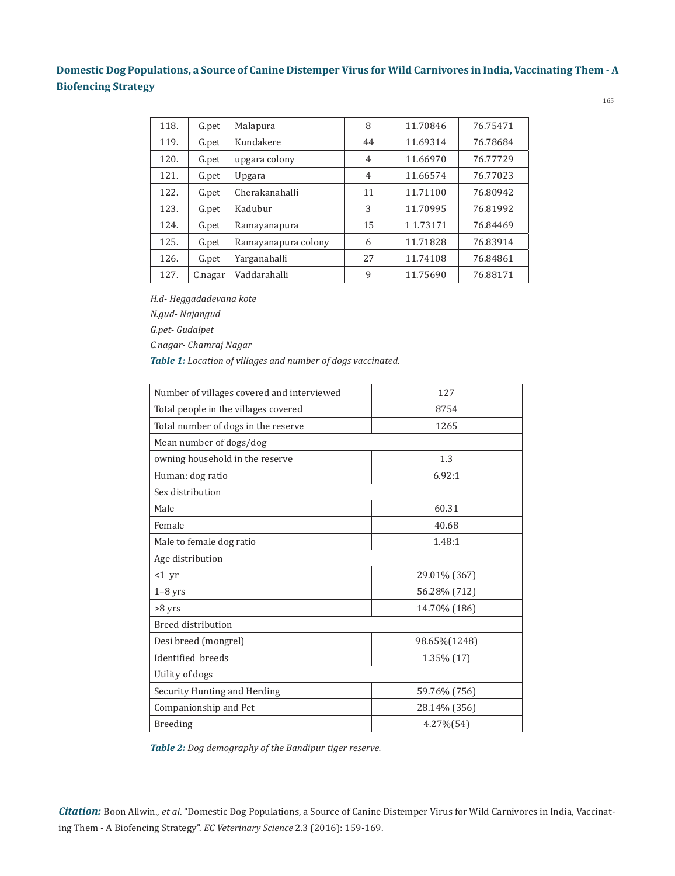| 118. | G.pet   | Malapura            | 8              | 11.70846 | 76.75471 |
|------|---------|---------------------|----------------|----------|----------|
| 119. | G.pet   | Kundakere           | 44             | 11.69314 | 76.78684 |
| 120. | G.pet   | upgara colony       | $\overline{4}$ | 11.66970 | 76.77729 |
| 121. | G.pet   | Upgara              | $\overline{4}$ | 11.66574 | 76.77023 |
| 122. | G.pet   | Cherakanahalli      | 11             | 11.71100 | 76.80942 |
| 123. | G.pet   | Kadubur             | 3              | 11.70995 | 76.81992 |
| 124. | G.pet   | Ramayanapura        | 15             | 11.73171 | 76.84469 |
| 125. | G.pet   | Ramayanapura colony | 6              | 11,71828 | 76.83914 |
| 126. | G.pet   | Yarganahalli        | 27             | 11.74108 | 76.84861 |
| 127. | C.nagar | Vaddarahalli        | 9              | 11.75690 | 76.88171 |

*H.d- Heggadadevana kote*

*N.gud- Najangud*

*G.pet- Gudalpet*

*C.nagar- Chamraj Nagar*

*Table 1: Location of villages and number of dogs vaccinated.*

| Number of villages covered and interviewed | 127          |  |  |  |
|--------------------------------------------|--------------|--|--|--|
| Total people in the villages covered       | 8754         |  |  |  |
| Total number of dogs in the reserve        | 1265         |  |  |  |
| Mean number of dogs/dog                    |              |  |  |  |
| owning household in the reserve            | 1.3          |  |  |  |
| Human: dog ratio                           | 6.92:1       |  |  |  |
| Sex distribution                           |              |  |  |  |
| Male                                       | 60.31        |  |  |  |
| Female                                     | 40.68        |  |  |  |
| Male to female dog ratio                   | 1.48:1       |  |  |  |
| Age distribution                           |              |  |  |  |
| $<1$ yr                                    | 29.01% (367) |  |  |  |
| $1-8$ yrs                                  | 56.28% (712) |  |  |  |
| >8 yrs                                     | 14.70% (186) |  |  |  |
| <b>Breed distribution</b>                  |              |  |  |  |
| Desi breed (mongrel)                       | 98.65%(1248) |  |  |  |
| Identified breeds                          | 1.35% (17)   |  |  |  |
| Utility of dogs                            |              |  |  |  |
| Security Hunting and Herding               | 59.76% (756) |  |  |  |
| Companionship and Pet                      | 28.14% (356) |  |  |  |
| <b>Breeding</b>                            | 4.27%(54)    |  |  |  |

*Table 2: Dog demography of the Bandipur tiger reserve.*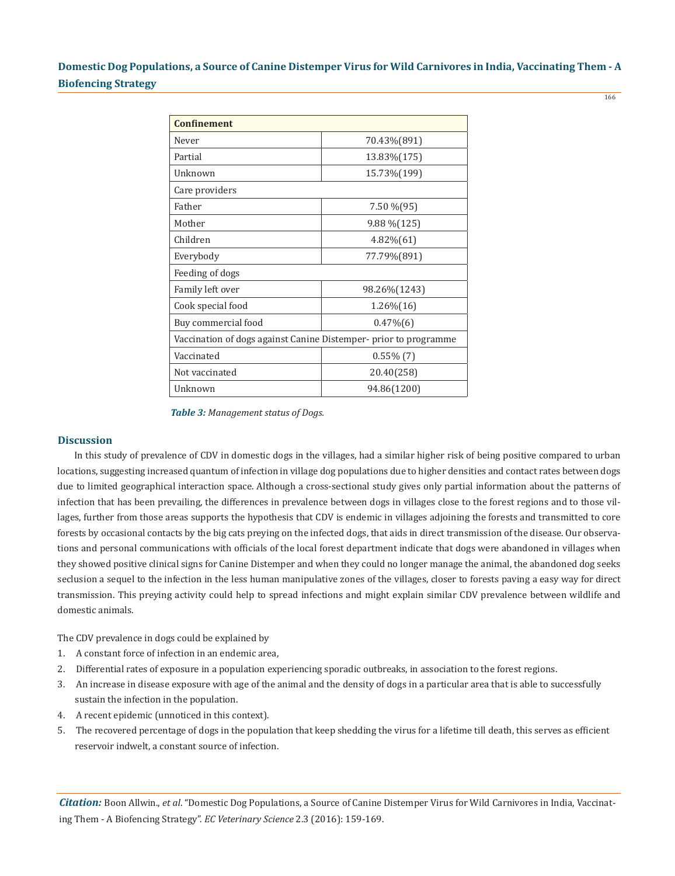166

| <b>Confinement</b>                                               |                |  |  |  |
|------------------------------------------------------------------|----------------|--|--|--|
| Never                                                            | 70.43%(891)    |  |  |  |
| Partial                                                          | 13.83% (175)   |  |  |  |
| Unknown                                                          | 15.73%(199)    |  |  |  |
| Care providers                                                   |                |  |  |  |
| Father                                                           | 7.50 % (95)    |  |  |  |
| Mother                                                           | $9.88\%$ (125) |  |  |  |
| Children                                                         | $4.82\%(61)$   |  |  |  |
| Everybody                                                        | 77.79%(891)    |  |  |  |
| Feeding of dogs                                                  |                |  |  |  |
| Family left over                                                 | 98.26% (1243)  |  |  |  |
| Cook special food                                                | $1.26\%(16)$   |  |  |  |
| Buy commercial food                                              | $0.47\%(6)$    |  |  |  |
| Vaccination of dogs against Canine Distemper- prior to programme |                |  |  |  |
| Vaccinated                                                       | $0.55\%$ (7)   |  |  |  |
| Not vaccinated                                                   | 20.40(258)     |  |  |  |
| Unknown                                                          | 94.86(1200)    |  |  |  |

*Table 3: Management status of Dogs.*

#### **Discussion**

In this study of prevalence of CDV in domestic dogs in the villages, had a similar higher risk of being positive compared to urban locations, suggesting increased quantum of infection in village dog populations due to higher densities and contact rates between dogs due to limited geographical interaction space. Although a cross-sectional study gives only partial information about the patterns of infection that has been prevailing, the differences in prevalence between dogs in villages close to the forest regions and to those villages, further from those areas supports the hypothesis that CDV is endemic in villages adjoining the forests and transmitted to core forests by occasional contacts by the big cats preying on the infected dogs, that aids in direct transmission of the disease. Our observations and personal communications with officials of the local forest department indicate that dogs were abandoned in villages when they showed positive clinical signs for Canine Distemper and when they could no longer manage the animal, the abandoned dog seeks seclusion a sequel to the infection in the less human manipulative zones of the villages, closer to forests paving a easy way for direct transmission. This preying activity could help to spread infections and might explain similar CDV prevalence between wildlife and domestic animals.

The CDV prevalence in dogs could be explained by

- 1. A constant force of infection in an endemic area,
- 2. Differential rates of exposure in a population experiencing sporadic outbreaks, in association to the forest regions.
- 3. An increase in disease exposure with age of the animal and the density of dogs in a particular area that is able to successfully sustain the infection in the population.
- 4. A recent epidemic (unnoticed in this context).
- 5. The recovered percentage of dogs in the population that keep shedding the virus for a lifetime till death, this serves as efficient reservoir indwelt, a constant source of infection.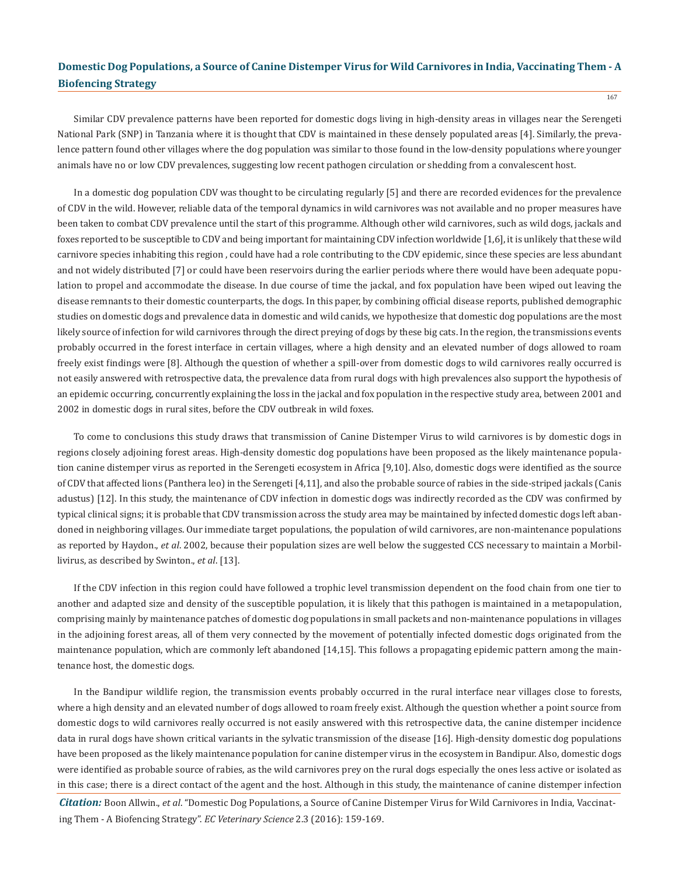Similar CDV prevalence patterns have been reported for domestic dogs living in high-density areas in villages near the Serengeti National Park (SNP) in Tanzania where it is thought that CDV is maintained in these densely populated areas [4]. Similarly, the prevalence pattern found other villages where the dog population was similar to those found in the low-density populations where younger animals have no or low CDV prevalences, suggesting low recent pathogen circulation or shedding from a convalescent host.

In a domestic dog population CDV was thought to be circulating regularly [5] and there are recorded evidences for the prevalence of CDV in the wild. However, reliable data of the temporal dynamics in wild carnivores was not available and no proper measures have been taken to combat CDV prevalence until the start of this programme. Although other wild carnivores, such as wild dogs, jackals and foxes reported to be susceptible to CDV and being important for maintaining CDV infection worldwide [1,6], it is unlikely that these wild carnivore species inhabiting this region , could have had a role contributing to the CDV epidemic, since these species are less abundant and not widely distributed [7] or could have been reservoirs during the earlier periods where there would have been adequate population to propel and accommodate the disease. In due course of time the jackal, and fox population have been wiped out leaving the disease remnants to their domestic counterparts, the dogs. In this paper, by combining official disease reports, published demographic studies on domestic dogs and prevalence data in domestic and wild canids, we hypothesize that domestic dog populations are the most likely source of infection for wild carnivores through the direct preying of dogs by these big cats. In the region, the transmissions events probably occurred in the forest interface in certain villages, where a high density and an elevated number of dogs allowed to roam freely exist findings were [8]. Although the question of whether a spill-over from domestic dogs to wild carnivores really occurred is not easily answered with retrospective data, the prevalence data from rural dogs with high prevalences also support the hypothesis of an epidemic occurring, concurrently explaining the loss in the jackal and fox population in the respective study area, between 2001 and 2002 in domestic dogs in rural sites, before the CDV outbreak in wild foxes.

To come to conclusions this study draws that transmission of Canine Distemper Virus to wild carnivores is by domestic dogs in regions closely adjoining forest areas. High-density domestic dog populations have been proposed as the likely maintenance population canine distemper virus as reported in the Serengeti ecosystem in Africa [9,10]. Also, domestic dogs were identified as the source of CDV that affected lions (Panthera leo) in the Serengeti [4,11], and also the probable source of rabies in the side-striped jackals (Canis adustus) [12]. In this study, the maintenance of CDV infection in domestic dogs was indirectly recorded as the CDV was confirmed by typical clinical signs; it is probable that CDV transmission across the study area may be maintained by infected domestic dogs left abandoned in neighboring villages. Our immediate target populations, the population of wild carnivores, are non-maintenance populations as reported by Haydon., *et al*. 2002, because their population sizes are well below the suggested CCS necessary to maintain a Morbillivirus, as described by Swinton., *et al*. [13].

If the CDV infection in this region could have followed a trophic level transmission dependent on the food chain from one tier to another and adapted size and density of the susceptible population, it is likely that this pathogen is maintained in a metapopulation, comprising mainly by maintenance patches of domestic dog populations in small packets and non-maintenance populations in villages in the adjoining forest areas, all of them very connected by the movement of potentially infected domestic dogs originated from the maintenance population, which are commonly left abandoned [14,15]. This follows a propagating epidemic pattern among the maintenance host, the domestic dogs.

In the Bandipur wildlife region, the transmission events probably occurred in the rural interface near villages close to forests, where a high density and an elevated number of dogs allowed to roam freely exist. Although the question whether a point source from domestic dogs to wild carnivores really occurred is not easily answered with this retrospective data, the canine distemper incidence data in rural dogs have shown critical variants in the sylvatic transmission of the disease [16]. High-density domestic dog populations have been proposed as the likely maintenance population for canine distemper virus in the ecosystem in Bandipur. Also, domestic dogs were identified as probable source of rabies, as the wild carnivores prey on the rural dogs especially the ones less active or isolated as in this case; there is a direct contact of the agent and the host. Although in this study, the maintenance of canine distemper infection

*Citation:* Boon Allwin., *et al*. "Domestic Dog Populations, a Source of Canine Distemper Virus for Wild Carnivores in India, Vaccinating Them - A Biofencing Strategy". *EC Veterinary Science* 2.3 (2016): 159-169.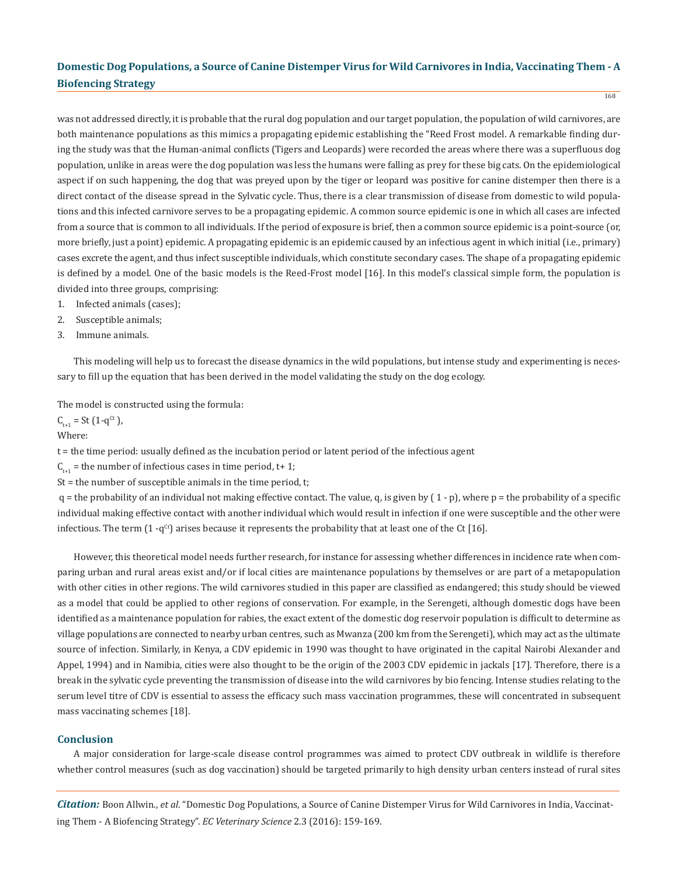168

was not addressed directly, it is probable that the rural dog population and our target population, the population of wild carnivores, are both maintenance populations as this mimics a propagating epidemic establishing the "Reed Frost model. A remarkable finding during the study was that the Human-animal conflicts (Tigers and Leopards) were recorded the areas where there was a superfluous dog population, unlike in areas were the dog population was less the humans were falling as prey for these big cats. On the epidemiological aspect if on such happening, the dog that was preyed upon by the tiger or leopard was positive for canine distemper then there is a direct contact of the disease spread in the Sylvatic cycle. Thus, there is a clear transmission of disease from domestic to wild populations and this infected carnivore serves to be a propagating epidemic. A common source epidemic is one in which all cases are infected from a source that is common to all individuals. If the period of exposure is brief, then a common source epidemic is a point-source (or, more briefly, just a point) epidemic. A propagating epidemic is an epidemic caused by an infectious agent in which initial (i.e., primary) cases excrete the agent, and thus infect susceptible individuals, which constitute secondary cases. The shape of a propagating epidemic is defined by a model. One of the basic models is the Reed-Frost model [16]. In this model's classical simple form, the population is divided into three groups, comprising:

- 1. Infected animals (cases);
- 2. Susceptible animals;
- 3. Immune animals.

This modeling will help us to forecast the disease dynamics in the wild populations, but intense study and experimenting is necessary to fill up the equation that has been derived in the model validating the study on the dog ecology.

The model is constructed using the formula:

 $C_{t+1} = St (1-q^{Ct})$ , Where:

t = the time period: usually defined as the incubation period or latent period of the infectious agent

 $C_{t+1}$  = the number of infectious cases in time period, t+ 1;

 $St = the number of susceptible animals in the time period, t;$ 

 $q =$  the probability of an individual not making effective contact. The value, q, is given by  $(1 - p)$ , where p = the probability of a specific individual making effective contact with another individual which would result in infection if one were susceptible and the other were infectious. The term  $(1 - q^{ct})$  arises because it represents the probability that at least one of the Ct [16].

However, this theoretical model needs further research, for instance for assessing whether differences in incidence rate when comparing urban and rural areas exist and/or if local cities are maintenance populations by themselves or are part of a metapopulation with other cities in other regions. The wild carnivores studied in this paper are classified as endangered; this study should be viewed as a model that could be applied to other regions of conservation. For example, in the Serengeti, although domestic dogs have been identified as a maintenance population for rabies, the exact extent of the domestic dog reservoir population is difficult to determine as village populations are connected to nearby urban centres, such as Mwanza (200 km from the Serengeti), which may act as the ultimate source of infection. Similarly, in Kenya, a CDV epidemic in 1990 was thought to have originated in the capital Nairobi Alexander and Appel, 1994) and in Namibia, cities were also thought to be the origin of the 2003 CDV epidemic in jackals [17]. Therefore, there is a break in the sylvatic cycle preventing the transmission of disease into the wild carnivores by bio fencing. Intense studies relating to the serum level titre of CDV is essential to assess the efficacy such mass vaccination programmes, these will concentrated in subsequent mass vaccinating schemes [18].

### **Conclusion**

A major consideration for large-scale disease control programmes was aimed to protect CDV outbreak in wildlife is therefore whether control measures (such as dog vaccination) should be targeted primarily to high density urban centers instead of rural sites